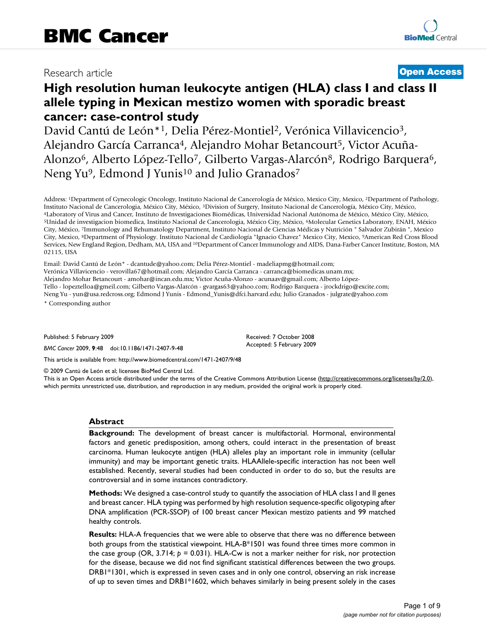# Research article **[Open Access](http://www.biomedcentral.com/info/about/charter/)**

# **High resolution human leukocyte antigen (HLA) class I and class II allele typing in Mexican mestizo women with sporadic breast cancer: case-control study**

David Cantú de León<sup>\*1</sup>, Delia Pérez-Montiel<sup>2</sup>, Verónica Villavicencio<sup>3</sup>, Alejandro García Carranca<sup>4</sup>, Alejandro Mohar Betancourt<sup>5</sup>, Victor Acuña-Alonzo<sup>6</sup>, Alberto López-Tello<sup>7</sup>, Gilberto Vargas-Alarcón<sup>8</sup>, Rodrigo Barquera<sup>6</sup>, Neng Yu<sup>9</sup>, Edmond J Yunis<sup>10</sup> and Julio Granados<sup>7</sup>

Address: <sup>1</sup>Department of Gynecologic Oncology, Instituto Nacional de Cancerología de México, Mexico City, Mexico, <sup>2</sup>Department of Pathology, Instituto Nacional de Cancerología, México, 100 Instituto Nacional de Cancerolo <sup>4</sup>Laboratory of Virus and Cancer, Instituto de Investigaciones Biomédicas, Universidad Nacional Autónoma de México, México City, México,<br><sup>5</sup>Unidad de investigacion biomedica, Instituto Nacional de Cancerologia, México Cit City, México, 7Immunology and Rehumatology Department, Instituto Nacional de Ciencias Médicas y Nutrición " Salvador Zubirán ", Mexico City, Mexico, 8Department of Physiology. Instituto Nacional de Cardiología "Ignacio Chavez" Mexico City, Mexico, 9American Red Cross Blood Services, New England Region, Dedham, MA, USA and 10Department of Cancer Immunology and AIDS, Dana-Farber Cancer Institute, Boston, MA 02115, USA

Email: David Cantú de León\* - dcantude@yahoo.com; Delia Pérez-Montiel - madeliapmg@hotmail.com; Verónica Villavicencio - verovilla67@hotmail.com; Alejandro García Carranca - carranca@biomedicas.unam.mx; Alejandro Mohar Betancourt - amohar@incan.edu.mx; Victor Acuña-Alonzo - acunaav@gmail.com; Alberto López-Tello - lopeztelloa@gmeil.com; Gilberto Vargas-Alarcón - gvargas63@yahoo.com; Rodrigo Barquera - jrockdrigo@excite.com; Neng Yu - yun@usa.redcross.org; Edmond J Yunis - Edmond\_Yunis@dfci.harvard.edu; Julio Granados - julgrate@yahoo.com \* Corresponding author

Published: 5 February 2009

*BMC Cancer* 2009, **9**:48 doi:10.1186/1471-2407-9-48

[This article is available from: http://www.biomedcentral.com/1471-2407/9/48](http://www.biomedcentral.com/1471-2407/9/48)

© 2009 Cantú de León et al; licensee BioMed Central Ltd.

This is an Open Access article distributed under the terms of the Creative Commons Attribution License [\(http://creativecommons.org/licenses/by/2.0\)](http://creativecommons.org/licenses/by/2.0), which permits unrestricted use, distribution, and reproduction in any medium, provided the original work is properly cited.

Received: 7 October 2008 Accepted: 5 February 2009

#### **Abstract**

**Background:** The development of breast cancer is multifactorial. Hormonal, environmental factors and genetic predisposition, among others, could interact in the presentation of breast carcinoma. Human leukocyte antigen (HLA) alleles play an important role in immunity (cellular immunity) and may be important genetic traits. HLAAllele-specific interaction has not been well established. Recently, several studies had been conducted in order to do so, but the results are controversial and in some instances contradictory.

**Methods:** We designed a case-control study to quantify the association of HLA class I and II genes and breast cancer. HLA typing was performed by high resolution sequence-specific oligotyping after DNA amplification (PCR-SSOP) of 100 breast cancer Mexican mestizo patients and 99 matched healthy controls.

**Results:** HLA-A frequencies that we were able to observe that there was no difference between both groups from the statistical viewpoint. HLA-B\*1501 was found three times more common in the case group (OR,  $3.714$ ;  $p = 0.031$ ). HLA-Cw is not a marker neither for risk, nor protection for the disease, because we did not find significant statistical differences between the two groups. DRB1\*1301, which is expressed in seven cases and in only one control, observing an risk increase of up to seven times and DRB1\*1602, which behaves similarly in being present solely in the cases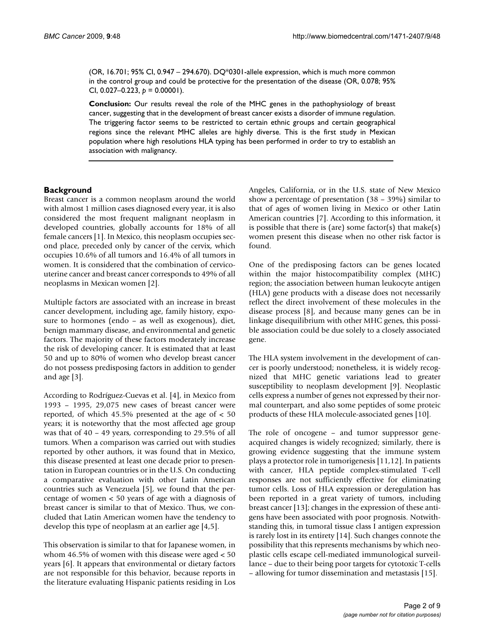(OR, 16.701; 95% CI, 0.947 – 294.670). DQ\*0301-allele expression, which is much more common in the control group and could be protective for the presentation of the disease (OR, 0.078; 95% CI,  $0.027 - 0.223$ ,  $p = 0.00001$ ).

**Conclusion:** Our results reveal the role of the MHC genes in the pathophysiology of breast cancer, suggesting that in the development of breast cancer exists a disorder of immune regulation. The triggering factor seems to be restricted to certain ethnic groups and certain geographical regions since the relevant MHC alleles are highly diverse. This is the first study in Mexican population where high resolutions HLA typing has been performed in order to try to establish an association with malignancy.

# **Background**

Breast cancer is a common neoplasm around the world with almost 1 million cases diagnosed every year, it is also considered the most frequent malignant neoplasm in developed countries, globally accounts for 18% of all female cancers [[1\]](#page-8-0). In Mexico, this neoplasm occupies second place, preceded only by cancer of the cervix, which occupies 10.6% of all tumors and 16.4% of all tumors in women. It is considered that the combination of cervicouterine cancer and breast cancer corresponds to 49% of all neoplasms in Mexican women [\[2\]](#page-8-1).

Multiple factors are associated with an increase in breast cancer development, including age, family history, exposure to hormones (endo – as well as exogenous), diet, benign mammary disease, and environmental and genetic factors. The majority of these factors moderately increase the risk of developing cancer. It is estimated that at least 50 and up to 80% of women who develop breast cancer do not possess predisposing factors in addition to gender and age [[3\]](#page-8-2).

According to Rodríguez-Cuevas et al. [[4](#page-8-3)], in Mexico from 1993 – 1995, 29,075 new cases of breast cancer were reported, of which 45.5% presented at the age of  $< 50$ years; it is noteworthy that the most affected age group was that of 40 – 49 years, corresponding to 29.5% of all tumors. When a comparison was carried out with studies reported by other authors, it was found that in Mexico, this disease presented at least one decade prior to presentation in European countries or in the U.S. On conducting a comparative evaluation with other Latin American countries such as Venezuela [[5](#page-8-4)], we found that the percentage of women < 50 years of age with a diagnosis of breast cancer is similar to that of Mexico. Thus, we concluded that Latin American women have the tendency to develop this type of neoplasm at an earlier age [\[4](#page-8-3)[,5\]](#page-8-4).

This observation is similar to that for Japanese women, in whom 46.5% of women with this disease were aged < 50 years [\[6\]](#page-8-5). It appears that environmental or dietary factors are not responsible for this behavior, because reports in the literature evaluating Hispanic patients residing in Los Angeles, California, or in the U.S. state of New Mexico show a percentage of presentation (38 – 39%) similar to that of ages of women living in Mexico or other Latin American countries [\[7\]](#page-8-6). According to this information, it is possible that there is (are) some factor(s) that make(s) women present this disease when no other risk factor is found.

One of the predisposing factors can be genes located within the major histocompatibility complex (MHC) region; the association between human leukocyte antigen (HLA) gene products with a disease does not necessarily reflect the direct involvement of these molecules in the disease process [\[8\]](#page-8-7), and because many genes can be in linkage disequilibrium with other MHC genes, this possible association could be due solely to a closely associated gene.

The HLA system involvement in the development of cancer is poorly understood; nonetheless, it is widely recognized that MHC genetic variations lead to greater susceptibility to neoplasm development [[9](#page-8-8)]. Neoplastic cells express a number of genes not expressed by their normal counterpart, and also some peptides of some proteic products of these HLA molecule-associated genes [\[10](#page-8-9)].

The role of oncogene – and tumor suppressor geneacquired changes is widely recognized; similarly, there is growing evidence suggesting that the immune system plays a protector role in tumorigenesis [[11](#page-8-10),[12\]](#page-8-11). In patients with cancer, HLA peptide complex-stimulated T-cell responses are not sufficiently effective for eliminating tumor cells. Loss of HLA expression or deregulation has been reported in a great variety of tumors, including breast cancer [[13](#page-8-12)]; changes in the expression of these antigens have been associated with poor prognosis. Notwithstanding this, in tumoral tissue class I antigen expression is rarely lost in its entirety [\[14](#page-8-13)]. Such changes connote the possibility that this represents mechanisms by which neoplastic cells escape cell-mediated immunological surveillance – due to their being poor targets for cytotoxic T-cells – allowing for tumor dissemination and metastasis [\[15](#page-8-14)].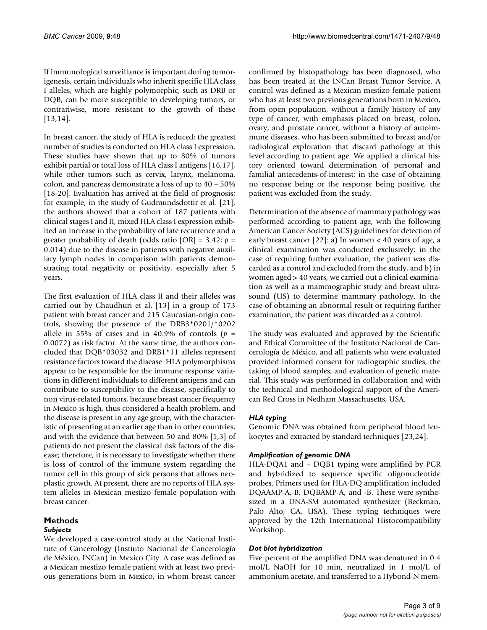If immunological surveillance is important during tumorigenesis, certain individuals who inherit specific HLA class I alleles, which are highly polymorphic, such as DRB or DQB, can be more susceptible to developing tumors, or contrariwise, more resistant to the growth of these [[13](#page-8-12),[14\]](#page-8-13).

In breast cancer, the study of HLA is reduced; the greatest number of studies is conducted on HLA class I expression. These studies have shown that up to 80% of tumors exhibit partial or total loss of HLA class I antigens [[16](#page-8-15)[,17](#page-8-16)], while other tumors such as cervix, larynx, melanoma, colon, and pancreas demonstrate a loss of up to 40 – 50% [[18](#page-8-17)[-20](#page-8-18)]. Evaluation has arrived at the field of prognosis; for example, in the study of Gudmundsdottir et al. [\[21](#page-8-19)], the authors showed that a cohort of 187 patients with clinical stages I and II, mixed HLA class I expression exhibited an increase in the probability of late recurrence and a greater probability of death (odds ratio [OR] = 3.42; *p* = 0.014) due to the disease in patients with negative auxiliary lymph nodes in comparison with patients demonstrating total negativity or positivity, especially after 5 years.

The first evaluation of HLA class II and their alleles was carried out by Chaudhuri et al. [\[13\]](#page-8-12) in a group of 173 patient with breast cancer and 215 Caucasian-origin controls, showing the presence of the DRB3\*0201/\*0202 allele in 55% of cases and in 40.9% of controls  $(p =$ 0.0072) as risk factor. At the same time, the authors concluded that DQB\*03032 and DRB1\*11 alleles represent resistance factors toward the disease. HLA polymorphisms appear to be responsible for the immune response variations in different individuals to different antigens and can contribute to susceptibility to the disease, specifically to non virus-related tumors, because breast cancer frequency in Mexico is high, thus considered a health problem, and the disease is present in any age group, with the characteristic of presenting at an earlier age than in other countries, and with the evidence that between 50 and 80% [[1](#page-8-0),[3](#page-8-2)] of patients do not present the classical risk factors of the disease; therefore, it is necessary to investigate whether there is loss of control of the immune system regarding the tumor cell in this group of sick persons that allows neoplastic growth. At present, there are no reports of HLA system alleles in Mexican mestizo female population with breast cancer.

# **Methods**

#### *Subjects*

We developed a case-control study at the National Institute of Cancerology (Instiuto Nacional de Cancerología de México, INCan) in Mexico City. A case was defined as a Mexican mestizo female patient with at least two previous generations born in Mexico, in whom breast cancer confirmed by histopathology has been diagnosed, who has been treated at the INCan Breast Tumor Service. A control was defined as a Mexican mestizo female patient who has at least two previous generations born in Mexico, from open population, without a family history of any type of cancer, with emphasis placed on breast, colon, ovary, and prostate cancer, without a history of autoimmune diseases, who has been submitted to breast and/or radiological exploration that discard pathology at this level according to patient age. We applied a clinical history oriented toward determination of personal and familial antecedents-of-interest; in the case of obtaining no response being or the response being positive, the patient was excluded from the study.

Determination of the absence of mammary pathology was performed according to patient age, with the following American Cancer Society (ACS) guidelines for detection of early breast cancer [[22](#page-8-20)]: a) In women < 40 years of age, a clinical examination was conducted exclusively; in the case of requiring further evaluation, the patient was discarded as a control and excluded from the study, and b) in women aged > 40 years, we carried out a clinical examination as well as a mammographic study and breast ultrasound (US) to determine mammary pathology. In the case of obtaining an abnormal result or requiring further examination, the patient was discarded as a control.

The study was evaluated and approved by the Scientific and Ethical Committee of the Instituto Nacional de Cancerología de México, and all patients who were evaluated provided informed consent for radiographic studies, the taking of blood samples, and evaluation of genetic material. This study was performed in collaboration and with the technical and methodological support of the American Red Cross in Nedham Massachusetts, USA.

#### *HLA typing*

Genomic DNA was obtained from peripheral blood leukocytes and extracted by standard techniques [[23](#page-8-21),[24\]](#page-8-22).

#### *Amplification of genomic DNA*

HLA-DQA1 and – DQB1 typing were amplified by PCR and hybridized to sequence specific oligonucleotide probes. Primers used for HLA-DQ amplification included DQAAMP-A,-B, DQBAMP-A, and -B. These were synthesized in a DNA-SM automated synthesizer (Beckman, Palo Alto, CA, USA). These typing techniques were approved by the 12th International Histocompatibility Workshop.

#### *Dot blot hybridization*

Five percent of the amplified DNA was denatured in 0.4 mol/L NaOH for 10 min, neutralized in 1 mol/L of ammonium acetate, and transferred to a Hybond-N mem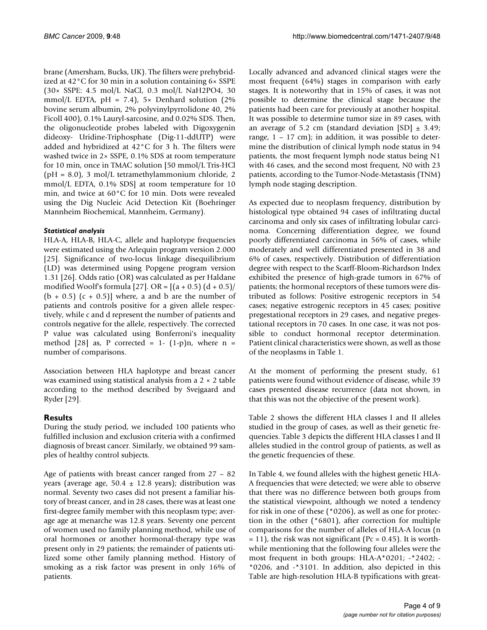brane (Amersham, Bucks, UK). The filters were prehybridized at 42°C for 30 min in a solution containing 6× SSPE (30× SSPE: 4.5 mol/L NaCl, 0.3 mol/L NaH2PO4, 30 mmol/L EDTA, pH = 7.4),  $5 \times$  Denhard solution (2%) bovine serum albumin, 2% polyvinylpyrrolidone 40, 2% Ficoll 400), 0.1% Lauryl-sarcosine, and 0.02% SDS. Then, the oligonucleotide probes labeled with Digoxygenin dideoxy- Uridine-Triphosphate (Dig-11-ddUTP) were added and hybridized at 42°C for 3 h. The filters were washed twice in 2× SSPE, 0.1% SDS at room temperature for 10 min, once in TMAC solution [50 mmol/L Tris-HCl (pH = 8.0), 3 mol/L tetramethylammonium chloride, 2 mmol/L EDTA, 0.1% SDS] at room temperature for 10 min, and twice at 60°C for 10 min. Dots were revealed using the Dig Nucleic Acid Detection Kit (Boehringer Mannheim Biochemical, Mannheim, Germany).

#### *Statistical analysis*

HLA-A, HLA-B, HLA-C, allele and haplotype frequencies were estimated using the Arlequin program version 2.000 [[25](#page-8-23)]. Significance of two-locus linkage disequilibrium (LD) was determined using Popgene program version 1.31 [[26\]](#page-8-24). Odds ratio (OR) was calculated as per Haldane modified Woolf's formula [\[27](#page-8-25)]. OR =  $[(a + 0.5) (d + 0.5)]$  $(b + 0.5)$  (c + 0.5)] where, a and b are the number of patients and controls positive for a given allele respectively, while c and d represent the number of patients and controls negative for the allele, respectively. The corrected P value was calculated using Bonferroni's inequality method [\[28](#page-8-26)] as, P corrected = 1- (1-p)n, where  $n =$ number of comparisons.

Association between HLA haplotype and breast cancer was examined using statistical analysis from a 2 × 2 table according to the method described by Svejgaard and Ryder [\[29](#page-8-27)].

# **Results**

During the study period, we included 100 patients who fulfilled inclusion and exclusion criteria with a confirmed diagnosis of breast cancer. Similarly, we obtained 99 samples of healthy control subjects.

Age of patients with breast cancer ranged from 27 – 82 years (average age,  $50.4 \pm 12.8$  years); distribution was normal. Seventy two cases did not present a familiar history of breast cancer, and in 28 cases, there was at least one first-degree family member with this neoplasm type; average age at menarche was 12.8 years. Seventy one percent of women used no family planning method, while use of oral hormones or another hormonal-therapy type was present only in 29 patients; the remainder of patients utilized some other family planning method. History of smoking as a risk factor was present in only 16% of patients.

Locally advanced and advanced clinical stages were the most frequent (64%) stages in comparison with early stages. It is noteworthy that in 15% of cases, it was not possible to determine the clinical stage because the patients had been care for previously at another hospital. It was possible to determine tumor size in 89 cases, with an average of 5.2 cm (standard deviation  $[SD] \pm 3.49$ ; range,  $1 - 17$  cm); in addition, it was possible to determine the distribution of clinical lymph node status in 94 patients, the most frequent lymph node status being N1 with 46 cases, and the second most frequent, N0 with 23 patients, according to the Tumor-Node-Metastasis (TNM) lymph node staging description.

As expected due to neoplasm frequency, distribution by histological type obtained 94 cases of infiltrating ductal carcinoma and only six cases of infiltrating lobular carcinoma. Concerning differentiation degree, we found poorly differentiated carcinoma in 56% of cases, while moderately and well differentiated presented in 38 and 6% of cases, respectively. Distribution of differentiation degree with respect to the Scarff-Bloom-Richardson Index exhibited the presence of high-grade tumors in 67% of patients; the hormonal receptors of these tumors were distributed as follows: Positive estrogenic receptors in 54 cases; negative estrogenic receptors in 45 cases; positive pregestational receptors in 29 cases, and negative pregestational receptors in 70 cases. In one case, it was not possible to conduct hormonal receptor determination. Patient clinical characteristics were shown, as well as those of the neoplasms in Table [1.](#page-4-0)

At the moment of performing the present study, 61 patients were found without evidence of disease, while 39 cases presented disease recurrence (data not shown, in that this was not the objective of the present work).

Table [2](#page-5-0) shows the different HLA classes I and II alleles studied in the group of cases, as well as their genetic frequencies. Table [3](#page-6-0) depicts the different HLA classes I and II alleles studied in the control group of patients, as well as the genetic frequencies of these.

In Table [4](#page-7-0), we found alleles with the highest genetic HLA-A frequencies that were detected; we were able to observe that there was no difference between both groups from the statistical viewpoint, although we noted a tendency for risk in one of these (\*0206), as well as one for protection in the other (\*6801), after correction for multiple comparisons for the number of alleles of HLA-A locus (n  $= 11$ ), the risk was not significant (Pc  $= 0.45$ ). It is worthwhile mentioning that the following four alleles were the most frequent in both groups: HLA-A\*0201; -\*2402; - \*0206, and -\*3101. In addition, also depicted in this Table are high-resolution HLA-B typifications with great-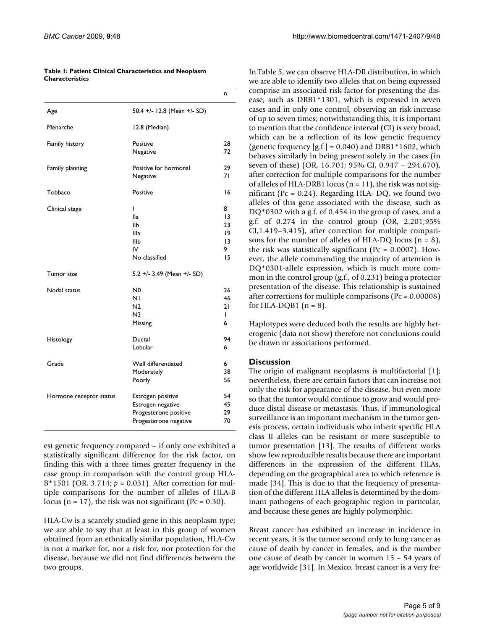<span id="page-4-0"></span>

| Table 1: Patient Clinical Characteristics and Neoplasm |  |
|--------------------------------------------------------|--|
| <b>Characteristics</b>                                 |  |

|                         |                             | n  |
|-------------------------|-----------------------------|----|
| Age                     | 50.4 +/- 12.8 (Mean +/- SD) |    |
| Menarche                | 12.8 (Median)               |    |
| Family history          | Positive                    | 28 |
|                         | Negative                    | 72 |
| Family planning         | Positive for hormonal       | 29 |
|                         | Negative                    | 71 |
| Tobbaco                 | Positive                    | 16 |
| Clinical stage          | L                           | 8  |
|                         | lla                         | 13 |
|                         | IІb                         | 23 |
|                         | Illa                        | 19 |
|                         | <b>IIIb</b>                 | 13 |
|                         | I۷                          | 9  |
|                         | No classified               | 15 |
| Tumor size              | 5.2 +/- 3.49 (Mean +/- SD)  |    |
| Nodal status            | N0                          | 26 |
|                         | ΝI                          | 46 |
|                         | N2                          | 21 |
|                         | N <sub>3</sub>              | т  |
|                         | Missing                     | 6  |
| Histology               | Ductal                      | 94 |
|                         | Lobular                     | 6  |
| Grade                   | Well differentiated         | 6  |
|                         | Moderately                  | 38 |
|                         | Poorly                      | 56 |
| Hormone receptor status | Estrogen positive           | 54 |
|                         | Estrogen negative           | 45 |
|                         | Progesterone positive       | 29 |
|                         | Progesterone negative       | 70 |

est genetic frequency compared – if only one exhibited a statistically significant difference for the risk factor, on finding this with a three times greater frequency in the case group in comparison with the control group HLA-B\*1501 (OR, 3.714; *p* = 0.031). After correction for multiple comparisons for the number of alleles of HLA-B locus (n = 17), the risk was not significant (Pc =  $0.30$ ).

HLA-Cw is a scarcely studied gene in this neoplasm type; we are able to say that at least in this group of women obtained from an ethnically similar population, HLA-Cw is not a marker for, nor a risk for, nor protection for the disease, because we did not find differences between the two groups.

In Table [5,](#page-7-1) we can observe HLA-DR distribution, in which we are able to identify two alleles that on being expressed comprise an associated risk factor for presenting the disease, such as DRB1\*1301, which is expressed in seven cases and in only one control, observing an risk increase of up to seven times; notwithstanding this, it is important to mention that the confidence interval (CI) is very broad, which can be a reflection of its low genetic frequency (genetic frequency  $[g,f] = 0.040$ ) and DRB1\*1602, which behaves similarly in being present solely in the cases (in seven of these) (OR, 16.701; 95% CI, 0.947 – 294.670), after correction for multiple comparisons for the number of alleles of HLA-DRB1 locus ( $n = 11$ ), the risk was not significant ( $Pc = 0.24$ ). Regarding HLA- DQ, we found two alleles of this gene associated with the disease, such as DQ\*0302 with a g.f. of 0.454 in the group of cases, and a g.f. of 0.274 in the control group (OR, 2.201;95% CI,1.419–3.415), after correction for multiple comparisons for the number of alleles of HLA-DQ locus  $(n = 8)$ , the risk was statistically significant ( $Pc = 0.0007$ ). However, the allele commanding the majority of attention is DQ\*0301-allele expression, which is much more common in the control group (g.f., of 0.231) being a protector presentation of the disease. This relationship is sustained after corrections for multiple comparisons (Pc = 0.00008) for HLA-DQB1  $(n = 8)$ .

Haplotypes were deduced both the results are highly heterogenic (data not show) therefore not conclusions could be drawn or associations performed.

#### **Discussion**

The origin of malignant neoplasms is multifactorial [[1](#page-8-0)]; nevertheless, there are certain factors that can increase not only the risk for appearance of the disease, but even more so that the tumor would continue to grow and would produce distal disease or metastasis. Thus, if immunological surveillance is an important mechanism in the tumor genesis process, certain individuals who inherit specific HLA class II alleles can be resistant or more susceptible to tumor presentation [[13\]](#page-8-12). The results of different works show few reproducible results because there are important differences in the expression of the different HLAs, depending on the geographical area to which reference is made [[34\]](#page-8-28). This is due to that the frequency of presentation of the different HLA alleles is determined by the dominant pathogens of each geographic region in particular, and because these genes are highly polymorphic.

Breast cancer has exhibited an increase in incidence in recent years, it is the tumor second only to lung cancer as cause of death by cancer in females, and is the number one cause of death by cancer in women 15 – 54 years of age worldwide [\[31](#page-8-29)]. In Mexico, breast cancer is a very fre-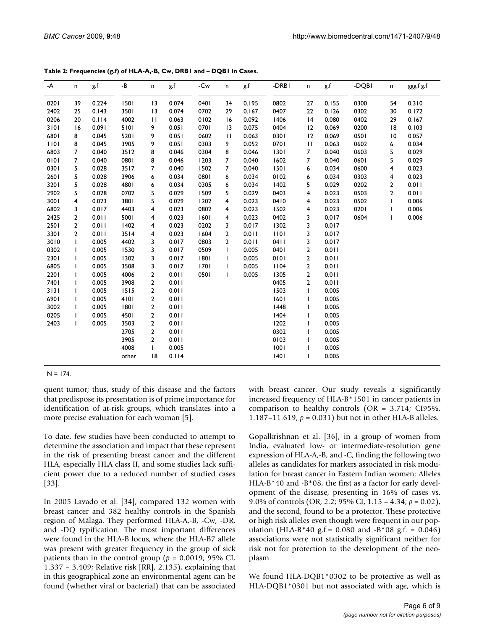| -A   | n  | g.f   | $-B$  | n               | g.f   | -Cw  | n               | g.f   | -DRBI | n                       | g.f   | -DQBI | n              | ggg.f g.f |
|------|----|-------|-------|-----------------|-------|------|-----------------|-------|-------|-------------------------|-------|-------|----------------|-----------|
| 0201 | 39 | 0.224 | 1501  | $\overline{13}$ | 0.074 | 0401 | 34              | 0.195 | 0802  | 27                      | 0.155 | 0300  | 54             | 0.310     |
| 2402 | 25 | 0.143 | 3501  | $\overline{13}$ | 0.074 | 0702 | 29              | 0.167 | 0407  | 22                      | 0.126 | 0302  | 30             | 0.172     |
| 0206 | 20 | 0.114 | 4002  | $\mathbf{H}$    | 0.063 | 0102 | 16              | 0.092 | 1406  | 4                       | 0.080 | 0402  | 29             | 0.167     |
| 3101 | 16 | 0.091 | 5101  | 9               | 0.051 | 0701 | $\overline{13}$ | 0.075 | 0404  | 12                      | 0.069 | 0200  | 8              | 0.103     |
| 6801 | 8  | 0.045 | 5201  | 9               | 0.051 | 0602 | $\mathbf{H}$    | 0.063 | 0301  | 12                      | 0.069 | 0501  | 0              | 0.057     |
| 1101 | 8  | 0.045 | 3905  | 9               | 0.051 | 0303 | 9               | 0.052 | 0701  | $\mathbf{H}$            | 0.063 | 0602  | 6              | 0.034     |
| 6803 | 7  | 0.040 | 3512  | 8               | 0.046 | 0304 | 8               | 0.046 | 1301  | $\overline{7}$          | 0.040 | 0603  | 5              | 0.029     |
| 0101 | 7  | 0.040 | 0801  | 8               | 0.046 | 1203 | 7               | 0.040 | 1602  | $\overline{7}$          | 0.040 | 0601  | 5              | 0.029     |
| 0301 | 5  | 0.028 | 3517  | 7               | 0.040 | 1502 | 7               | 0.040 | 1501  | 6                       | 0.034 | 0600  | 4              | 0.023     |
| 2601 | 5  | 0.028 | 3906  | 6               | 0.034 | 0801 | 6               | 0.034 | 0102  | 6                       | 0.034 | 0303  | 4              | 0.023     |
| 3201 | 5  | 0.028 | 4801  | 6               | 0.034 | 0305 | 6               | 0.034 | 1402  | 5                       | 0.029 | 0202  | 2              | 0.011     |
| 2902 | 5  | 0.028 | 0702  | 5               | 0.029 | 1509 | 5               | 0.029 | 0403  | $\overline{\mathbf{4}}$ | 0.023 | 0503  | $\overline{2}$ | 0.011     |
| 3001 | 4  | 0.023 | 3801  | 5               | 0.029 | 1202 | 4               | 0.023 | 0410  | 4                       | 0.023 | 0502  |                | 0.006     |
| 6802 | 3  | 0.017 | 4403  | 4               | 0.023 | 0802 | 4               | 0.023 | 1502  | 4                       | 0.023 | 0201  |                | 0.006     |
| 2425 | 2  | 0.011 | 5001  | 4               | 0.023 | 1601 | 4               | 0.023 | 0402  | 3                       | 0.017 | 0604  | ı              | 0.006     |
| 2501 | 2  | 0.011 | 1402  | 4               | 0.023 | 0202 | 3               | 0.017 | 1302  | 3                       | 0.017 |       |                |           |
| 3301 | 2  | 0.011 | 3514  | 4               | 0.023 | 1604 | 2               | 0.011 | 1101  | 3                       | 0.017 |       |                |           |
| 3010 | T  | 0.005 | 4402  | 3               | 0.017 | 0803 | $\overline{2}$  | 0.011 | 0411  | 3                       | 0.017 |       |                |           |
| 0302 |    | 0.005 | 1530  | 3               | 0.017 | 0509 | T               | 0.005 | 0401  | $\mathbf{2}$            | 0.011 |       |                |           |
| 2301 |    | 0.005 | 1302  | 3               | 0.017 | 1801 | I.              | 0.005 | 0101  | $\overline{2}$          | 0.011 |       |                |           |
| 6805 |    | 0.005 | 3508  | 3               | 0.017 | 1701 |                 | 0.005 | 1104  | $\overline{2}$          | 0.011 |       |                |           |
| 2201 |    | 0.005 | 4006  | 2               | 0.011 | 0501 | L               | 0.005 | 1305  | $\overline{2}$          | 0.011 |       |                |           |
| 7401 |    | 0.005 | 3908  | 2               | 0.011 |      |                 |       | 0405  | $\overline{2}$          | 0.011 |       |                |           |
| 3131 |    | 0.005 | 1515  | 2               | 0.011 |      |                 |       | 1503  | T                       | 0.005 |       |                |           |
| 6901 |    | 0.005 | 4101  | 2               | 0.011 |      |                 |       | 1601  |                         | 0.005 |       |                |           |
| 3002 |    | 0.005 | 1801  | 2               | 0.011 |      |                 |       | 1448  |                         | 0.005 |       |                |           |
| 0205 |    | 0.005 | 4501  | 2               | 0.011 |      |                 |       | 1404  |                         | 0.005 |       |                |           |
| 2403 | L  | 0.005 | 3503  | 2               | 0.011 |      |                 |       | 1202  |                         | 0.005 |       |                |           |
|      |    |       | 2705  | 2               | 0.011 |      |                 |       | 0302  |                         | 0.005 |       |                |           |
|      |    |       | 3905  | 2               | 0.011 |      |                 |       | 0103  |                         | 0.005 |       |                |           |
|      |    |       | 4008  | L               | 0.005 |      |                 |       | 1001  |                         | 0.005 |       |                |           |
|      |    |       | other | 8               | 0.114 |      |                 |       | 40    | L                       | 0.005 |       |                |           |

<span id="page-5-0"></span>**Table 2: Frequencies (g.f) of HLA-A,-B, Cw, DRB1 and – DQB1 in Cases.**

 $N = 174.$ 

quent tumor; thus, study of this disease and the factors that predispose its presentation is of prime importance for identification of at-risk groups, which translates into a more precise evaluation for each woman [\[5\]](#page-8-4).

To date, few studies have been conducted to attempt to determine the association and impact that these represent in the risk of presenting breast cancer and the different HLA, especially HLA class II, and some studies lack sufficient power due to a reduced number of studied cases [[33](#page-8-30)].

In 2005 Lavado et al. [[34](#page-8-28)], compared 132 women with breast cancer and 382 healthy controls in the Spanish region of Málaga. They performed HLA-A,-B, -Cw, -DR, and -DQ typification. The most important differences were found in the HLA-B locus, where the HLA-B7 allele was present with greater frequency in the group of sick patients than in the control group ( $p = 0.0019$ ; 95% CI, 1.337 – 3.409; Relative risk [RR], 2.135), explaining that in this geographical zone an environmental agent can be found (whether viral or bacterial) that can be associated

with breast cancer. Our study reveals a significantly increased frequency of HLA-B\*1501 in cancer patients in comparison to healthy controls (OR = 3.714; CI95%, 1.187–11.619,  $p = 0.031$ ) but not in other HLA-B alleles.

Gopalkrishnan et al. [[36\]](#page-8-31), in a group of women from India, evaluated low- or intermediate-resolution gene expression of HLA-A,-B, and -C, finding the following two alleles as candidates for markers associated in risk modulation for breast cancer in Eastern Indian women: Alleles HLA-B\*40 and -B\*08, the first as a factor for early development of the disease, presenting in 16% of cases vs. 9.0% of controls (OR, 2.2; 95% CI, 1.15 – 4.34; *p* = 0.02), and the second, found to be a protector. These protective or high risk alleles even though were frequent in our population (HLA-B\*40 g.f. =  $0.080$  and  $-B*08$  g.f. =  $0.046$ ) associations were not statistically significant neither for risk not for protection to the development of the neoplasm.

We found HLA-DQB1\*0302 to be protective as well as HLA-DQB1\*0301 but not associated with age, which is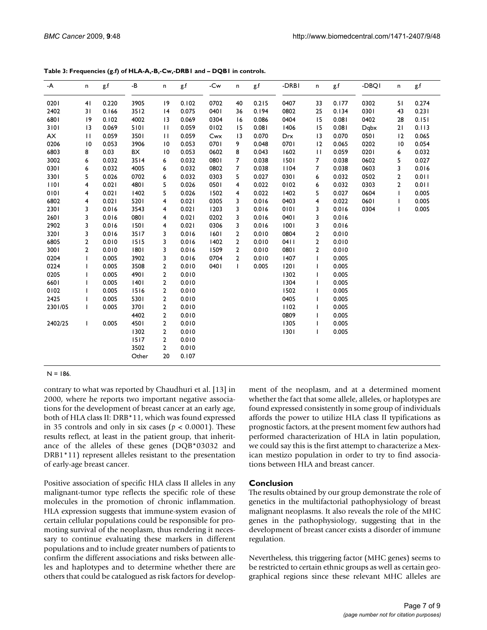| -A      | n                       | g.f   | -В    | n              | g.f   | -Cw  | n              | g.f   | -DRBI | n              | g.f   | -DBQ1 | n              | g.f   |
|---------|-------------------------|-------|-------|----------------|-------|------|----------------|-------|-------|----------------|-------|-------|----------------|-------|
| 0201    | 41                      | 0.220 | 3905  | 9              | 0.102 | 0702 | 40             | 0.215 | 0407  | 33             | 0.177 | 0302  | 51             | 0.274 |
| 2402    | 31                      | 0.166 | 3512  | 4              | 0.075 | 0401 | 36             | 0.194 | 0802  | 25             | 0.134 | 0301  | 43             | 0.231 |
| 6801    | 9                       | 0.102 | 4002  | 13             | 0.069 | 0304 | 16             | 0.086 | 0404  | 15             | 0.081 | 0402  | 28             | 0.151 |
| 3101    | 13                      | 0.069 | 5101  | $\mathbf{H}$   | 0.059 | 0102 | 15             | 0.081 | 1406  | 15             | 0.081 | Dqbx  | 21             | 0.113 |
| AX      | $\mathbf{H}$            | 0.059 | 3501  | $\mathbf{H}$   | 0.059 | Cwx  | 13             | 0.070 | Drx   | 3              | 0.070 | 0501  | 12             | 0.065 |
| 0206    | 10                      | 0.053 | 3906  | 10             | 0.053 | 0701 | 9              | 0.048 | 0701  | 12             | 0.065 | 0202  | 10             | 0.054 |
| 6803    | 8                       | 0.03  | BX    | 10             | 0.053 | 0602 | 8              | 0.043 | 1602  | $\mathbf{H}$   | 0.059 | 0201  | 6              | 0.032 |
| 3002    | 6                       | 0.032 | 3514  | 6              | 0.032 | 0801 | $\overline{7}$ | 0.038 | 1501  | $\overline{7}$ | 0.038 | 0602  | 5              | 0.027 |
| 0301    | 6                       | 0.032 | 4005  | 6              | 0.032 | 0802 | 7              | 0.038 | 1104  | $\overline{7}$ | 0.038 | 0603  | 3              | 0.016 |
| 3301    | 5                       | 0.026 | 0702  | 6              | 0.032 | 0303 | 5              | 0.027 | 0301  | 6              | 0.032 | 0502  | 2              | 0.011 |
| 1101    | 4                       | 0.021 | 4801  | 5              | 0.026 | 0501 | 4              | 0.022 | 0102  | 6              | 0.032 | 0303  | $\overline{2}$ | 0.011 |
| 0101    | $\overline{\mathbf{4}}$ | 0.021 | 1402  | 5              | 0.026 | 1502 | 4              | 0.022 | 1402  | 5              | 0.027 | 0604  | T              | 0.005 |
| 6802    | 4                       | 0.021 | 5201  | 4              | 0.021 | 0305 | 3              | 0.016 | 0403  | 4              | 0.022 | 0601  |                | 0.005 |
| 2301    | 3                       | 0.016 | 3543  | 4              | 0.021 | 1203 | 3              | 0.016 | 0101  | 3              | 0.016 | 0304  | L              | 0.005 |
| 2601    | 3                       | 0.016 | 0801  | 4              | 0.021 | 0202 | 3              | 0.016 | 0401  | 3              | 0.016 |       |                |       |
| 2902    | 3                       | 0.016 | 1501  | 4              | 0.021 | 0306 | 3              | 0.016 | 1001  | 3              | 0.016 |       |                |       |
| 3201    | 3                       | 0.016 | 3517  | 3              | 0.016 | 1601 | $\overline{2}$ | 0.010 | 0804  | $\overline{2}$ | 0.010 |       |                |       |
| 6805    | $\overline{2}$          | 0.010 | 1515  | 3              | 0.016 | 1402 | $\overline{2}$ | 0.010 | 0411  | $\overline{2}$ | 0.010 |       |                |       |
| 3001    | 2                       | 0.010 | 1801  | 3              | 0.016 | 1509 | $\overline{2}$ | 0.010 | 0801  | $\overline{2}$ | 0.010 |       |                |       |
| 0204    | L                       | 0.005 | 3902  | 3              | 0.016 | 0704 | $\overline{2}$ | 0.010 | 1407  | $\mathbf{I}$   | 0.005 |       |                |       |
| 0224    | L                       | 0.005 | 3508  | 2              | 0.010 | 0401 | $\mathbf{I}$   | 0.005 | 1201  | I              | 0.005 |       |                |       |
| 0205    |                         | 0.005 | 4901  | 2              | 0.010 |      |                |       | 1302  | I              | 0.005 |       |                |       |
| 6601    |                         | 0.005 | 1401  | 2              | 0.010 |      |                |       | 1304  | ı              | 0.005 |       |                |       |
| 0102    | ı                       | 0.005 | 1516  | 2              | 0.010 |      |                |       | 1502  | I              | 0.005 |       |                |       |
| 2425    |                         | 0.005 | 5301  | 2              | 0.010 |      |                |       | 0405  | I              | 0.005 |       |                |       |
| 2301/05 | $\mathbf{I}$            | 0.005 | 3701  | 2              | 0.010 |      |                |       | 1102  | I              | 0.005 |       |                |       |
|         |                         |       | 4402  | $\overline{2}$ | 0.010 |      |                |       | 0809  | ı              | 0.005 |       |                |       |
| 2402/25 | $\mathbf{I}$            | 0.005 | 4501  | $\overline{2}$ | 0.010 |      |                |       | 1305  | I              | 0.005 |       |                |       |
|         |                         |       | 1302  | 2              | 0.010 |      |                |       | 1301  | I              | 0.005 |       |                |       |
|         |                         |       | 1517  | 2              | 0.010 |      |                |       |       |                |       |       |                |       |
|         |                         |       | 3502  | $\overline{2}$ | 0.010 |      |                |       |       |                |       |       |                |       |
|         |                         |       | Other | 20             | 0.107 |      |                |       |       |                |       |       |                |       |
|         |                         |       |       |                |       |      |                |       |       |                |       |       |                |       |

<span id="page-6-0"></span>**Table 3: Frequencies (g.f) of HLA-A,-B,-Cw,-DRB1 and – DQB1 in controls.**

 $N = 186$ .

contrary to what was reported by Chaudhuri et al. [[13](#page-8-12)] in 2000, where he reports two important negative associations for the development of breast cancer at an early age, both of HLA class II: DRB\*11, which was found expressed in 35 controls and only in six cases ( $p < 0.0001$ ). These results reflect, at least in the patient group, that inheritance of the alleles of these genes (DQB\*03032 and DRB1\*11) represent alleles resistant to the presentation of early-age breast cancer.

Positive association of specific HLA class II alleles in any malignant-tumor type reflects the specific role of these molecules in the promotion of chronic inflammation. HLA expression suggests that immune-system evasion of certain cellular populations could be responsible for promoting survival of the neoplasm, thus rendering it necessary to continue evaluating these markers in different populations and to include greater numbers of patients to confirm the different associations and risks between alleles and haplotypes and to determine whether there are others that could be catalogued as risk factors for development of the neoplasm, and at a determined moment whether the fact that some allele, alleles, or haplotypes are found expressed consistently in some group of individuals affords the power to utilize HLA class II typifications as prognostic factors, at the present moment few authors had performed characterization of HLA in latin population, we could say this is the first attempt to characterize a Mexican mestizo population in order to try to find associations between HLA and breast cancer.

#### **Conclusion**

The results obtained by our group demonstrate the role of genetics in the multifactorial pathophysiology of breast malignant neoplasms. It also reveals the role of the MHC genes in the pathophysiology, suggesting that in the development of breast cancer exists a disorder of immune regulation.

Nevertheless, this triggering factor (MHC genes) seems to be restricted to certain ethnic groups as well as certain geographical regions since these relevant MHC alleles are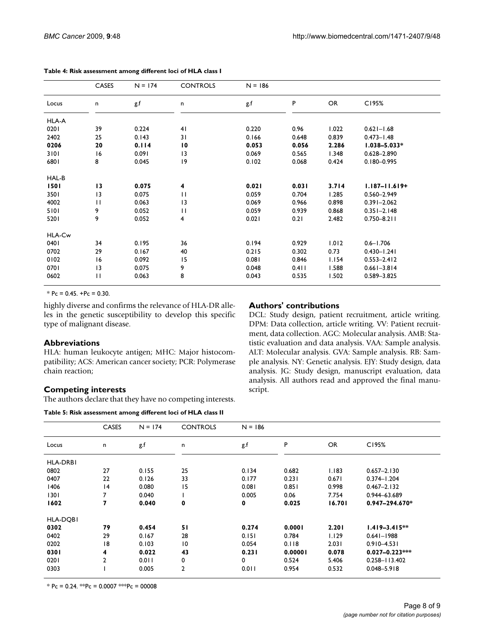|               | <b>CASES</b> | $N = 174$ | <b>CONTROLS</b> | $N = 186$ |       |           |                    |
|---------------|--------------|-----------|-----------------|-----------|-------|-----------|--------------------|
| Locus         | n            | g.f       | n               | g.f       | P     | <b>OR</b> | C195%              |
| HLA-A         |              |           |                 |           |       |           |                    |
| 0201          | 39           | 0.224     | 41              | 0.220     | 0.96  | 1.022     | $0.621 - 1.68$     |
| 2402          | 25           | 0.143     | 31              | 0.166     | 0.648 | 0.839     | $0.473 - 1.48$     |
| 0206          | 20           | 0.114     | $\overline{10}$ | 0.053     | 0.056 | 2.286     | $1.038 - 5.033*$   |
| 3101          | 16           | 0.091     | 13              | 0.069     | 0.565 | 1.348     | 0.628-2.890        |
| 6801          | 8            | 0.045     | 19              | 0.102     | 0.068 | 0.424     | $0.180 - 0.995$    |
| HAL-B         |              |           |                 |           |       |           |                    |
| 1501          | 13           | 0.075     | 4               | 0.021     | 0.031 | 3.714     | $1.187 - 11.619 +$ |
| 3501          | 13           | 0.075     | $\mathbf{H}$    | 0.059     | 0.704 | 1.285     | 0.560-2.949        |
| 4002          | $\mathbf{H}$ | 0.063     | 13              | 0.069     | 0.966 | 0.898     | $0.391 - 2.062$    |
| 5101          | 9            | 0.052     | $\mathbf{H}$    | 0.059     | 0.939 | 0.868     | $0.351 - 2.148$    |
| 5201          | 9            | 0.052     | $\overline{4}$  | 0.021     | 0.21  | 2.482     | $0.750 - 8.211$    |
| <b>HLA-Cw</b> |              |           |                 |           |       |           |                    |
| 0401          | 34           | 0.195     | 36              | 0.194     | 0.929 | 1.012     | $0.6 - 1.706$      |
| 0702          | 29           | 0.167     | 40              | 0.215     | 0.302 | 0.73      | $0.430 - 1.241$    |
| 0102          | 16           | 0.092     | 15              | 0.081     | 0.846 | 1.154     | $0.553 - 2.412$    |
| 0701          | 13           | 0.075     | 9               | 0.048     | 0.411 | 1.588     | $0.661 - 3.814$    |
| 0602          | П            | 0.063     | 8               | 0.043     | 0.535 | 1.502     | 0.589-3.825        |
|               |              |           |                 |           |       |           |                    |

<span id="page-7-0"></span>**Table 4: Risk assessment among different loci of HLA class I**

 $*$  Pc = 0.45. +Pc = 0.30.

highly diverse and confirms the relevance of HLA-DR alleles in the genetic susceptibility to develop this specific type of malignant disease.

# **Abbreviations**

HLA: human leukocyte antigen; MHC: Major histocompatibility; ACS: American cancer society; PCR: Polymerase chain reaction;

# **Competing interests**

The authors declare that they have no competing interests.

<span id="page-7-1"></span>**Table 5: Risk assessment among different loci of HLA class II**

#### **Authors' contributions**

DCL: Study design, patient recruitment, article writing. DPM: Data collection, article writing. VV: Patient recruitment, data collection. AGC: Molecular analysis. AMB: Statistic evaluation and data analysis. VAA: Sample analysis. ALT: Molecular analysis. GVA: Sample analysis. RB: Sample analysis. NY: Genetic analysis. EJY: Study design, data analysis. JG: Study design, manuscript evaluation, data analysis. All authors read and approved the final manuscript.

|                 | <b>CASES</b>   | $N = 174$ | <b>CONTROLS</b> | $N = 186$ |         |        |                     |
|-----------------|----------------|-----------|-----------------|-----------|---------|--------|---------------------|
| Locus           | n              | g.f       | n               | g.f       | P       | OR.    | C195%               |
| <b>HLA-DRBI</b> |                |           |                 |           |         |        |                     |
| 0802            | 27             | 0.155     | 25              | 0.134     | 0.682   | 1.183  | $0.657 - 2.130$     |
| 0407            | 22             | 0.126     | 33              | 0.177     | 0.231   | 0.671  | $0.374 - 1.204$     |
| 1406            | 4              | 0.080     | 15              | 0.081     | 0.851   | 0.998  | $0.467 - 2.132$     |
| 1301            | 7              | 0.040     |                 | 0.005     | 0.06    | 7.754  | 0.944-63.689        |
| 1602            | 7              | 0.040     | 0               | 0         | 0.025   | 16.701 | $0.947 - 294.670*$  |
| <b>HLA-DOBI</b> |                |           |                 |           |         |        |                     |
| 0302            | 79             | 0.454     | 51              | 0.274     | 0.0001  | 2.201  | $1.419 - 3.415**$   |
| 0402            | 29             | 0.167     | 28              | 0.151     | 0.784   | 1.129  | $0.641 - 1988$      |
| 0202            | 8              | 0.103     | $\overline{10}$ | 0.054     | 0.118   | 2.031  | $0.910 - 4.531$     |
| 0301            | 4              | 0.022     | 43              | 0.231     | 0.00001 | 0.078  | $0.027 - 0.223$ *** |
| 0201            | $\overline{2}$ | 0.011     | 0               | 0         | 0.524   | 5.406  | $0.258 - 113.402$   |
| 0303            |                | 0.005     | $\overline{2}$  | 0.011     | 0.954   | 0.532  | $0.048 - 5.918$     |

\* Pc = 0.24. \*\*Pc = 0.0007 \*\*\*Pc = 00008